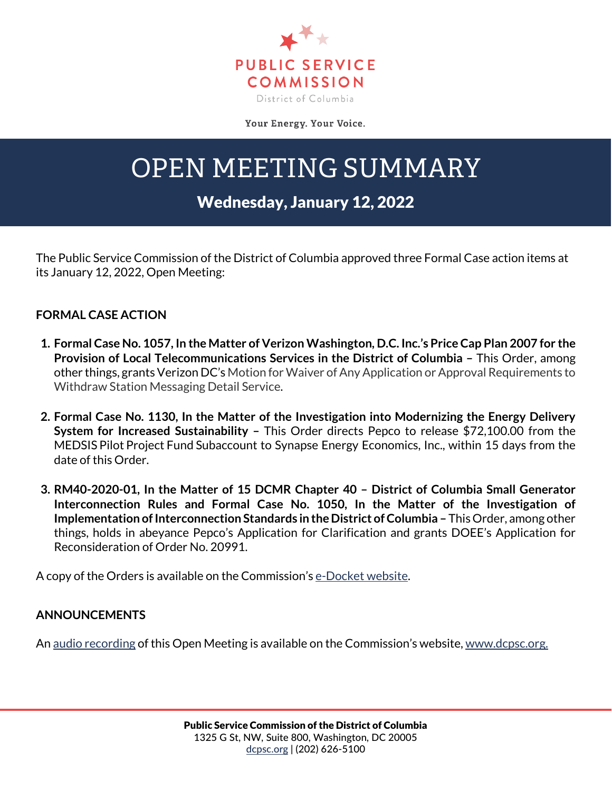

Your Energy. Your Voice.

## OPEN MEETING SUMMARY

## Wednesday, January 12, 2022

The Public Service Commission of the District of Columbia approved three Formal Case action items at its January 12, 2022, Open Meeting:

## **FORMAL CASE ACTION**

- **1. Formal Case No. 1057, In the Matter of Verizon Washington, D.C. Inc.'s Price Cap Plan 2007 for the Provision of Local Telecommunications Services in the District of Columbia –** This Order, among other things, grants Verizon DC's Motion for Waiver of Any Application or Approval Requirements to Withdraw Station Messaging Detail Service.
- **2. Formal Case No. 1130, In the Matter of the Investigation into Modernizing the Energy Delivery System for Increased Sustainability –** This Order directs Pepco to release \$72,100.00 from the MEDSIS Pilot Project Fund Subaccount to Synapse Energy Economics, Inc., within 15 days from the date of this Order.
- **3. RM40-2020-01, In the Matter of 15 DCMR Chapter 40 – District of Columbia Small Generator Interconnection Rules and Formal Case No. 1050, In the Matter of the Investigation of Implementation of Interconnection Standards in the District of Columbia –** This Order, among other things, holds in abeyance Pepco's Application for Clarification and grants DOEE's Application for Reconsideration of Order No. 20991.

A copy of the Orders is available on the Commission's [e-Docket website.](https://edocket.dcpsc.org/public/search)

## **ANNOUNCEMENTS**

An [audio recording](https://dcpsc.org/Newsroom/Watch-Open-Meetings.aspx) of this Open Meeting is available on the Commission's website, [www.dcpsc.org.](http://www.dcpsc.org/)